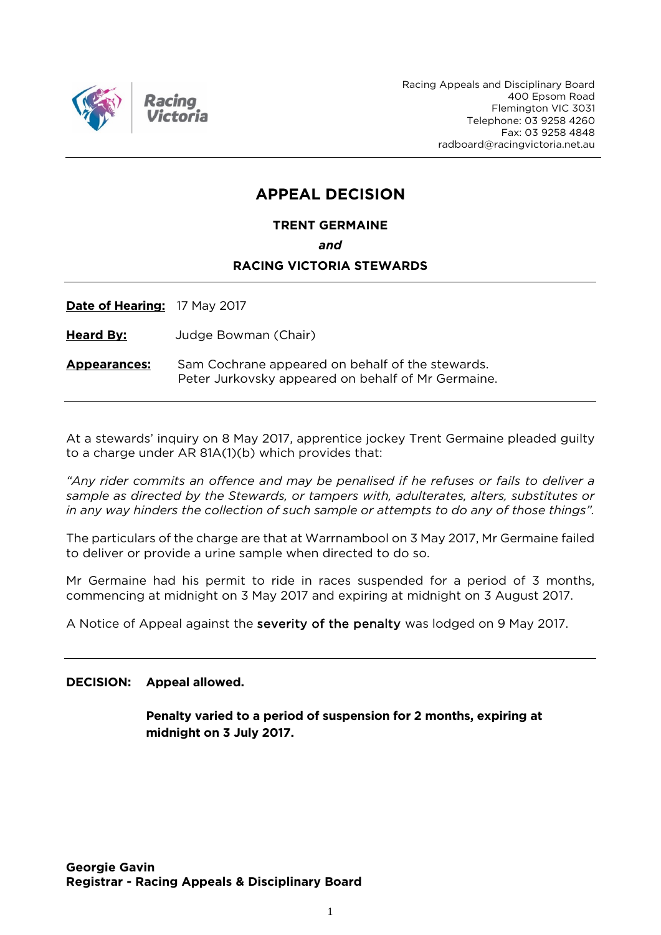

Racing Appeals and Disciplinary Board 400 Epsom Road Flemington VIC 3031 Telephone: 03 9258 4260 Fax: 03 9258 4848 radboard@racingvictoria.net.au

# **APPEAL DECISION**

**TRENT GERMAINE**

*and*

#### **RACING VICTORIA STEWARDS**

**Date of Hearing:** 17 May 2017

**Heard By:** Judge Bowman (Chair)

**Appearances:** Sam Cochrane appeared on behalf of the stewards. Peter Jurkovsky appeared on behalf of Mr Germaine.

At a stewards' inquiry on 8 May 2017, apprentice jockey Trent Germaine pleaded guilty to a charge under AR 81A(1)(b) which provides that:

*"Any rider commits an offence and may be penalised if he refuses or fails to deliver a sample as directed by the Stewards, or tampers with, adulterates, alters, substitutes or in any way hinders the collection of such sample or attempts to do any of those things".*

The particulars of the charge are that at Warrnambool on 3 May 2017, Mr Germaine failed to deliver or provide a urine sample when directed to do so.

Mr Germaine had his permit to ride in races suspended for a period of 3 months, commencing at midnight on 3 May 2017 and expiring at midnight on 3 August 2017.

A Notice of Appeal against the severity of the penalty was lodged on 9 May 2017.

#### **DECISION: Appeal allowed.**

**Penalty varied to a period of suspension for 2 months, expiring at midnight on 3 July 2017.**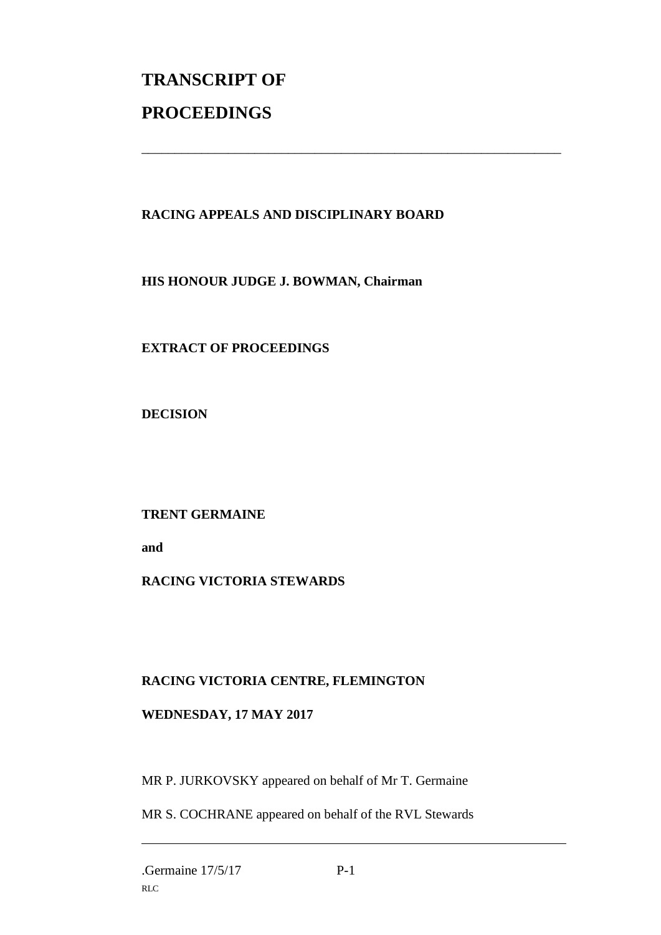# **TRANSCRIPT OF PROCEEDINGS**

## **RACING APPEALS AND DISCIPLINARY BOARD**

\_\_\_\_\_\_\_\_\_\_\_\_\_\_\_\_\_\_\_\_\_\_\_\_\_\_\_\_\_\_\_\_\_\_\_\_\_\_\_\_\_\_\_\_\_\_\_\_\_\_\_\_\_\_\_\_\_\_\_\_\_\_\_

**HIS HONOUR JUDGE J. BOWMAN, Chairman**

**EXTRACT OF PROCEEDINGS**

**DECISION**

**TRENT GERMAINE** 

**and** 

# **RACING VICTORIA STEWARDS**

# **RACING VICTORIA CENTRE, FLEMINGTON**

### **WEDNESDAY, 17 MAY 2017**

MR P. JURKOVSKY appeared on behalf of Mr T. Germaine

MR S. COCHRANE appeared on behalf of the RVL Stewards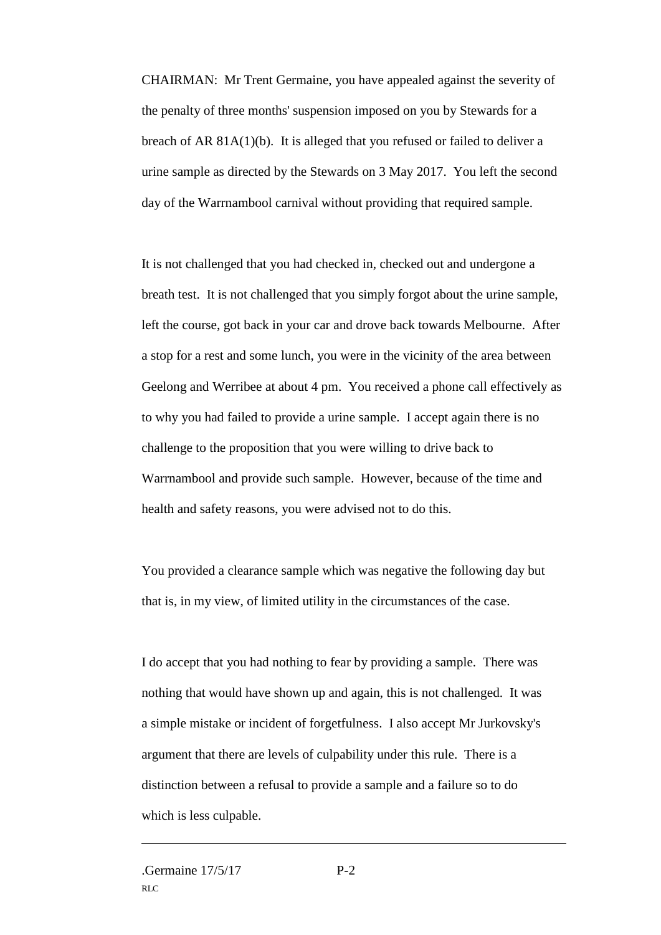CHAIRMAN: Mr Trent Germaine, you have appealed against the severity of the penalty of three months' suspension imposed on you by Stewards for a breach of AR 81A(1)(b). It is alleged that you refused or failed to deliver a urine sample as directed by the Stewards on 3 May 2017. You left the second day of the Warrnambool carnival without providing that required sample.

It is not challenged that you had checked in, checked out and undergone a breath test. It is not challenged that you simply forgot about the urine sample, left the course, got back in your car and drove back towards Melbourne. After a stop for a rest and some lunch, you were in the vicinity of the area between Geelong and Werribee at about 4 pm. You received a phone call effectively as to why you had failed to provide a urine sample. I accept again there is no challenge to the proposition that you were willing to drive back to Warrnambool and provide such sample. However, because of the time and health and safety reasons, you were advised not to do this.

You provided a clearance sample which was negative the following day but that is, in my view, of limited utility in the circumstances of the case.

I do accept that you had nothing to fear by providing a sample. There was nothing that would have shown up and again, this is not challenged. It was a simple mistake or incident of forgetfulness. I also accept Mr Jurkovsky's argument that there are levels of culpability under this rule. There is a distinction between a refusal to provide a sample and a failure so to do which is less culpable.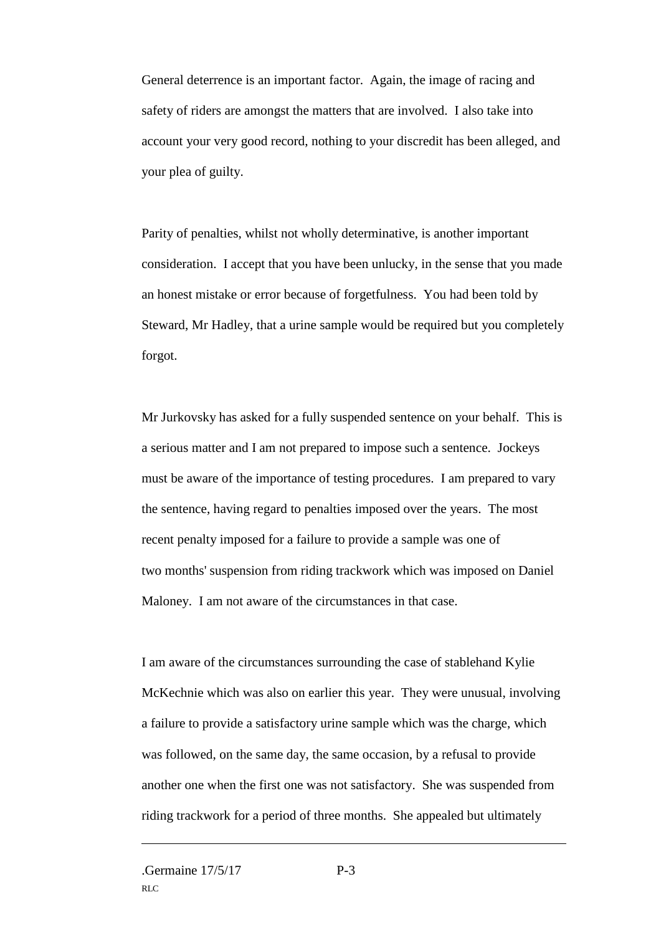General deterrence is an important factor. Again, the image of racing and safety of riders are amongst the matters that are involved. I also take into account your very good record, nothing to your discredit has been alleged, and your plea of guilty.

Parity of penalties, whilst not wholly determinative, is another important consideration. I accept that you have been unlucky, in the sense that you made an honest mistake or error because of forgetfulness. You had been told by Steward, Mr Hadley, that a urine sample would be required but you completely forgot.

Mr Jurkovsky has asked for a fully suspended sentence on your behalf. This is a serious matter and I am not prepared to impose such a sentence. Jockeys must be aware of the importance of testing procedures. I am prepared to vary the sentence, having regard to penalties imposed over the years. The most recent penalty imposed for a failure to provide a sample was one of two months' suspension from riding trackwork which was imposed on Daniel Maloney. I am not aware of the circumstances in that case.

I am aware of the circumstances surrounding the case of stablehand Kylie McKechnie which was also on earlier this year. They were unusual, involving a failure to provide a satisfactory urine sample which was the charge, which was followed, on the same day, the same occasion, by a refusal to provide another one when the first one was not satisfactory. She was suspended from riding trackwork for a period of three months. She appealed but ultimately